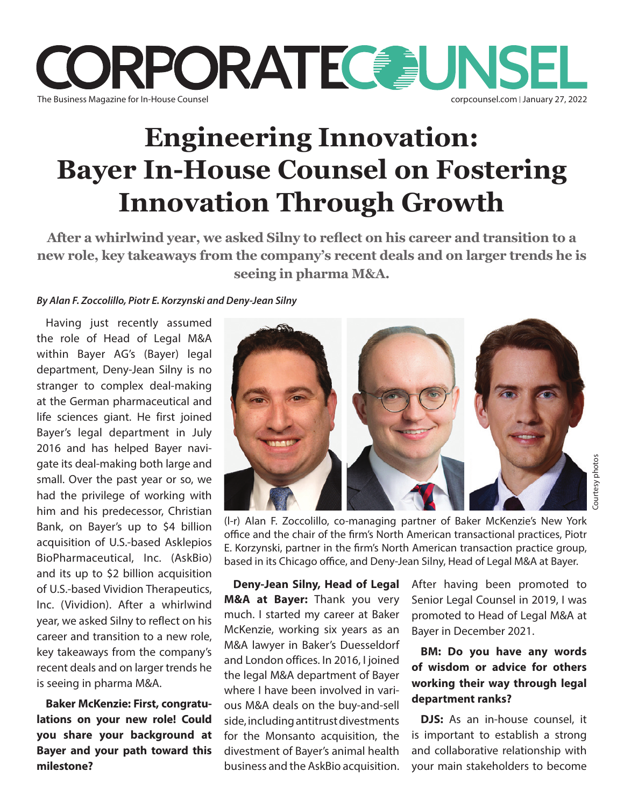

# **Engineering Innovation: Bayer In-House Counsel on Fostering Innovation Through Growth**

**After a whirlwind year, we asked Silny to reflect on his career and transition to a new role, key takeaways from the company's recent deals and on larger trends he is seeing in pharma M&A.**

#### *By Alan F. Zoccolillo, Piotr E. Korzynski and Deny-Jean Silny*

Having just recently assumed the role of Head of Legal M&A within Bayer AG's (Bayer) legal department, Deny-Jean Silny is no stranger to complex deal-making at the German pharmaceutical and life sciences giant. He first joined Bayer's legal department in July 2016 and has helped Bayer navigate its deal-making both large and small. Over the past year or so, we had the privilege of working with him and his predecessor, Christian Bank, on Bayer's up to \$4 billion acquisition of U.S.-based Asklepios BioPharmaceutical, Inc. (AskBio) and its up to \$2 billion acquisition of U.S.-based Vividion Therapeutics, Inc. (Vividion). After a whirlwind year, we asked Silny to reflect on his career and transition to a new role, key takeaways from the company's recent deals and on larger trends he is seeing in pharma M&A.

**Baker McKenzie: First, congratulations on your new role! Could you share your background at Bayer and your path toward this milestone?**



Courtesy photos

(l-r) Alan F. Zoccolillo, co-managing partner of Baker McKenzie's New York office and the chair of the firm's North American transactional practices, Piotr E. Korzynski, partner in the firm's North American transaction practice group, based in its Chicago office, and Deny-Jean Silny, Head of Legal M&A at Bayer.

**Deny-Jean Silny, Head of Legal M&A at Bayer:** Thank you very much. I started my career at Baker McKenzie, working six years as an M&A lawyer in Baker's Duesseldorf and London offices. In 2016, I joined the legal M&A department of Bayer where I have been involved in various M&A deals on the buy-and-sell side, including antitrust divestments for the Monsanto acquisition, the divestment of Bayer's animal health business and the AskBio acquisition.

After having been promoted to Senior Legal Counsel in 2019, I was promoted to Head of Legal M&A at Bayer in December 2021.

### **BM: Do you have any words of wisdom or advice for others working their way through legal department ranks?**

**DJS:** As an in-house counsel, it is important to establish a strong and collaborative relationship with your main stakeholders to become